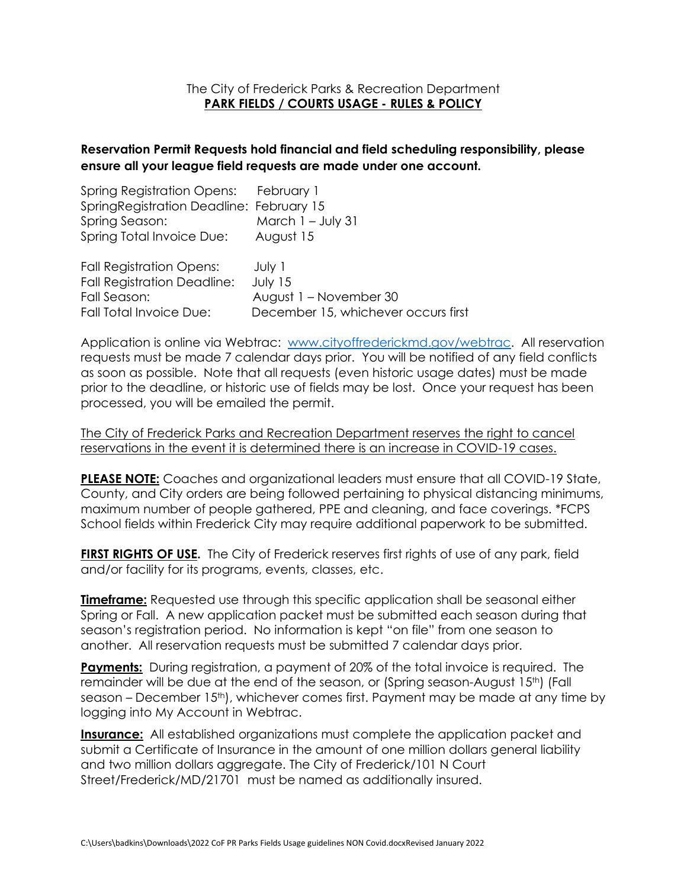## The City of Frederick Parks & Recreation Department **PARK FIELDS / COURTS USAGE - RULES & POLICY**

## **Reservation Permit Requests hold financial and field scheduling responsibility, please ensure all your league field requests are made under one account.**

| Spring Registration Opens: February 1     |                                     |
|-------------------------------------------|-------------------------------------|
| Spring Registration Deadline: February 15 |                                     |
| Spring Season:                            | March $1 -$ July 31                 |
| Spring Total Invoice Due:                 | August 15                           |
| <b>Fall Registration Opens:</b>           | July 1                              |
| <b>Fall Registration Deadline:</b>        | July 15                             |
| Fall Season:                              | August 1 – November 30              |
| <b>Fall Total Invoice Due:</b>            | December 15, whichever occurs first |

Application is online via Webtrac: [www.cityoffrederickmd.gov/webtrac.](http://www.cityoffrederickmd.gov/webtrac) All reservation requests must be made 7 calendar days prior. You will be notified of any field conflicts as soon as possible. Note that all requests (even historic usage dates) must be made prior to the deadline, or historic use of fields may be lost. Once your request has been processed, you will be emailed the permit.

The City of Frederick Parks and Recreation Department reserves the right to cancel reservations in the event it is determined there is an increase in COVID-19 cases.

**PLEASE NOTE:** Coaches and organizational leaders must ensure that all COVID-19 State, County, and City orders are being followed pertaining to physical distancing minimums, maximum number of people gathered, PPE and cleaning, and face coverings. \*FCPS School fields within Frederick City may require additional paperwork to be submitted.

**FIRST RIGHTS OF USE.** The City of Frederick reserves first rights of use of any park, field and/or facility for its programs, events, classes, etc.

**Timeframe:** Requested use through this specific application shall be seasonal either Spring or Fall. A new application packet must be submitted each season during that season's registration period. No information is kept "on file" from one season to another. All reservation requests must be submitted 7 calendar days prior.

**Payments:** During registration, a payment of 20% of the total invoice is required. The remainder will be due at the end of the season, or (Spring season-August 15<sup>th</sup>) (Fall season – December 15<sup>th</sup>), whichever comes first. Payment may be made at any time by logging into My Account in Webtrac.

**Insurance:** All established organizations must complete the application packet and submit a Certificate of Insurance in the amount of one million dollars general liability and two million dollars aggregate. The City of Frederick/101 N Court Street/Frederick/MD/21701 must be named as additionally insured.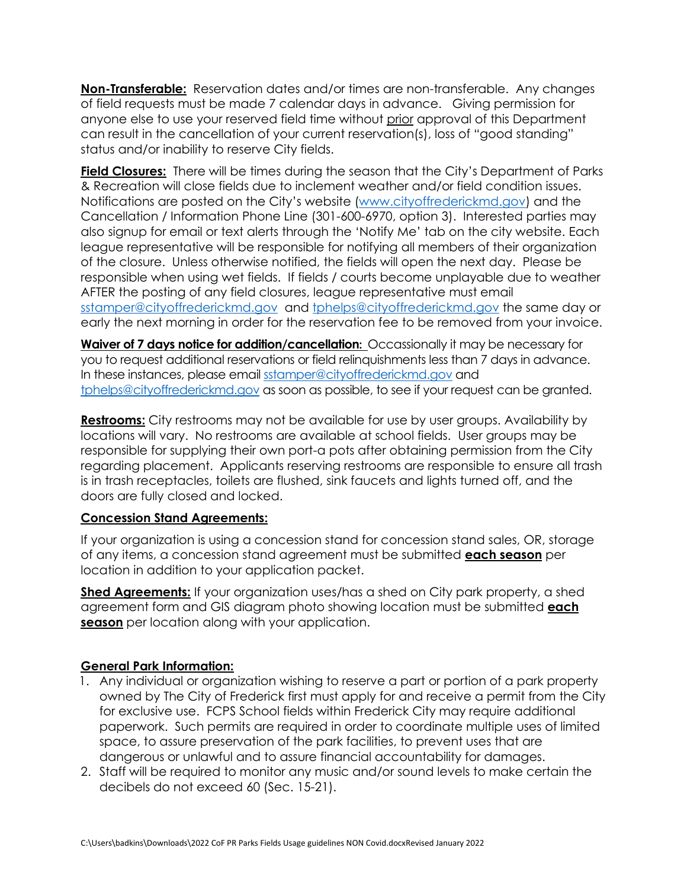**Non-Transferable:** Reservation dates and/or times are non-transferable. Any changes of field requests must be made 7 calendar days in advance. Giving permission for anyone else to use your reserved field time without prior approval of this Department can result in the cancellation of your current reservation(s), loss of "good standing" status and/or inability to reserve City fields.

**Field Closures:** There will be times during the season that the City's Department of Parks & Recreation will close fields due to inclement weather and/or field condition issues. Notifications are posted on the City's website ([www.cityoffrederickmd.gov\)](http://www.cityoffrederickmd.gov/) and the Cancellation / Information Phone Line (301-600-6970, option 3). Interested parties may also signup for email or text alerts through the 'Notify Me' tab on the city website. Each league representative will be responsible for notifying all members of their organization of the closure. Unless otherwise notified, the fields will open the next day. Please be responsible when using wet fields. If fields / courts become unplayable due to weather AFTER the posting of any field closures, league representative must email [sstamper@cityoffrederickmd.gov](mailto:sstamper@cityoffrederickmd.gov) and [tphelps@cityoffrederickmd.gov](mailto:tphelps@cityoffrederickmd.gov) the same day or early the next morning in order for the reservation fee to be removed from your invoice.

**Waiver of 7 days notice for addition/cancellation:** Occassionally it may be necessary for you to request additional reservations or field relinquishments less than 7 days in advance. In these instances, please email [sstamper@cityoffrederickmd.gov](mailto:sstamper@cityoffrederickmd.gov) and [tphelps@cityoffrederickmd.gov](mailto:tphelps@cityoffrederickmd.gov) as soon as possible, to see if your request can be granted.

**Restrooms:** City restrooms may not be available for use by user groups. Availability by locations will vary. No restrooms are available at school fields. User groups may be responsible for supplying their own port-a pots after obtaining permission from the City regarding placement. Applicants reserving restrooms are responsible to ensure all trash is in trash receptacles, toilets are flushed, sink faucets and lights turned off, and the doors are fully closed and locked.

## **Concession Stand Agreements:**

If your organization is using a concession stand for concession stand sales, OR, storage of any items, a concession stand agreement must be submitted **each season** per location in addition to your application packet.

**Shed Agreements:** If your organization uses/has a shed on City park property, a shed agreement form and GIS diagram photo showing location must be submitted **each season** per location along with your application.

## **General Park Information:**

- 1. Any individual or organization wishing to reserve a part or portion of a park property owned by The City of Frederick first must apply for and receive a permit from the City for exclusive use. FCPS School fields within Frederick City may require additional paperwork. Such permits are required in order to coordinate multiple uses of limited space, to assure preservation of the park facilities, to prevent uses that are dangerous or unlawful and to assure financial accountability for damages.
- 2. Staff will be required to monitor any music and/or sound levels to make certain the decibels do not exceed 60 (Sec. 15-21).